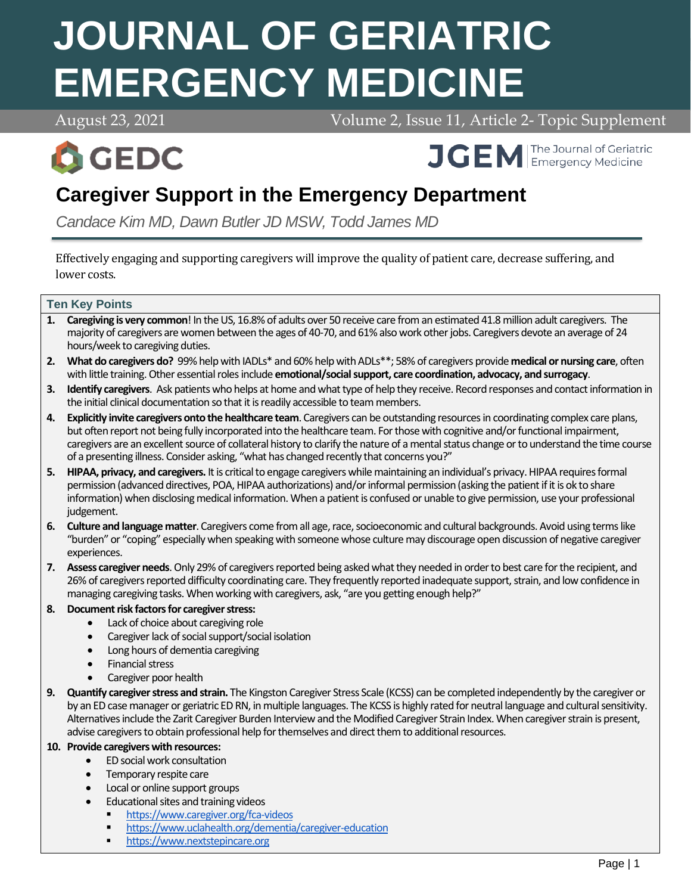# **JOURNAL OF GERIATRIC EMERGENCY MEDICINE**

August 23, 2021 Volume 2, Issue 11, Article 2- Topic Supplement



**APRIL 2018 April 7, 2021 Volume 2, 2021 April 2021 Volume 2, 2021 April 2021 April 2021 April 2021 April 2021** 

# **Caregiver Support in the Emergency Department**

*Candace Kim MD, Dawn Butler JD MSW, Todd James MD*

Effectively engaging and supporting caregivers will improve the quality of patient care, decrease suffering, and lower costs.

#### **Ten Key Points**

- **1. Caregiving is very common**! In the US, 16.8% of adults over 50 receive care from an estimated 41.8 million adult caregivers. The majority of caregivers are women between the ages of 40-70, and 61% also work other jobs. Caregivers devote an average of 24 hours/week to caregiving duties.
- **2. What do caregivers do?** 99% help with IADLs\* and 60% help with ADLs\*\*; 58% of caregivers provide **medical or nursing care**, often with little training. Other essential roles include **emotional/social support, care coordination, advocacy, and surrogacy**.
- **3. Identify caregivers**. Ask patients who helps at home and what type of help they receive. Record responses and contact information in the initial clinical documentation so that it is readily accessible to team members.
- **4. Explicitly invite caregivers onto the healthcare team**. Caregivers can be outstanding resources in coordinating complex care plans, but often report not being fully incorporated into the healthcare team. For those with cognitive and/or functional impairment, caregivers are an excellent source of collateral history to clarify the nature of a mental status change or to understand the time course of a presenting illness. Consider asking, "what has changed recently that concerns you?"
- **5. HIPAA, privacy, and caregivers.** It is critical to engage caregivers while maintaining an individual's privacy. HIPAA requires formal permission (advanced directives, POA, HIPAA authorizations) and/or informal permission (asking the patient if it is ok to share information) when disclosing medical information. When a patient is confused or unable to give permission, use your professional judgement.
- **6. Culture and language matter**. Caregivers come from all age, race, socioeconomic and cultural backgrounds. Avoid using terms like "burden" or "coping" especially when speaking with someone whose culture may discourage open discussion of negative caregiver experiences.
- **7. Assess caregiver needs**. Only 29% of caregivers reported being asked what they needed in order to best care for the recipient, and 26% of caregivers reported difficulty coordinating care. They frequently reported inadequate support, strain, and low confidence in managing caregiving tasks. When working with caregivers, ask, "are you getting enough help?"

#### **8. Document risk factors for caregiver stress:**

- Lack of choice about caregiving role
- Caregiver lack of social support/social isolation
- Long hours of dementia caregiving
- Financial stress
- Caregiver poor health
- **9. Quantify caregiver stress and strain.** The Kingston Caregiver Stress Scale (KCSS) can be completed independently by the caregiver or by an ED case manager or geriatric ED RN, in multiple languages. The KCSS is highly rated for neutral language and cultural sensitivity. Alternatives include the Zarit Caregiver Burden Interview and the Modified Caregiver Strain Index. When caregiver strain is present, advise caregivers to obtain professional help for themselves and direct them to additional resources.

#### **10. Provide caregivers with resources:**

- ED social work consultation
- Temporary respite care
- Local or online support groups
- Educational sites and training videos
	- <https://www.caregiver.org/fca-videos>
	- <https://www.uclahealth.org/dementia/caregiver-education>
	- **[https://www.nextstepincare.org](https://www.nextstepincare.org/)**